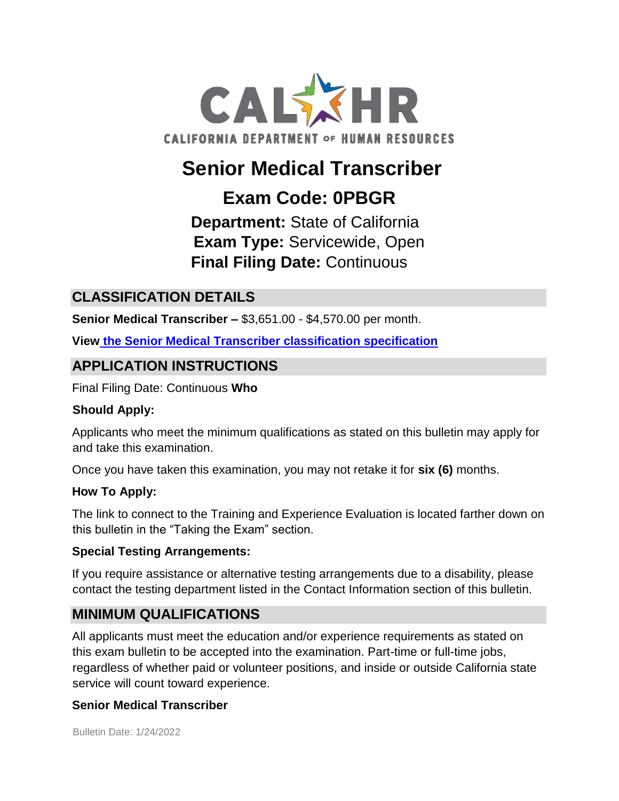

# **Senior Medical Transcriber**

## **Exam Code: 0PBGR**

**Department:** State of California **Exam Type:** Servicewide, Open **Final Filing Date:** Continuous

## **CLASSIFICATION DETAILS**

**Senior Medical Transcriber –** \$3,651.00 - \$4,570.00 per month.

**Vie[w](http://www.calhr.ca.gov/state-hr-professionals/Pages/1177.aspx) [the](http://www.calhr.ca.gov/state-hr-professionals/Pages/1177.aspx) [Senior Medical Transcriber classification specification](http://www.calhr.ca.gov/state-hr-professionals/Pages/1177.aspx)**

## **APPLICATION INSTRUCTIONS**

Final Filing Date: Continuous **Who** 

#### **Should Apply:**

Applicants who meet the minimum qualifications as stated on this bulletin may apply for and take this examination.

Once you have taken this examination, you may not retake it for **six (6)** months.

#### **How To Apply:**

The link to connect to the Training and Experience Evaluation is located farther down on this bulletin in the "Taking the Exam" section.

#### **Special Testing Arrangements:**

If you require assistance or alternative testing arrangements due to a disability, please contact the testing department listed in the Contact Information section of this bulletin.

## **MINIMUM QUALIFICATIONS**

All applicants must meet the education and/or experience requirements as stated on this exam bulletin to be accepted into the examination. Part-time or full-time jobs, regardless of whether paid or volunteer positions, and inside or outside California state service will count toward experience.

#### **Senior Medical Transcriber**

Bulletin Date: 1/24/2022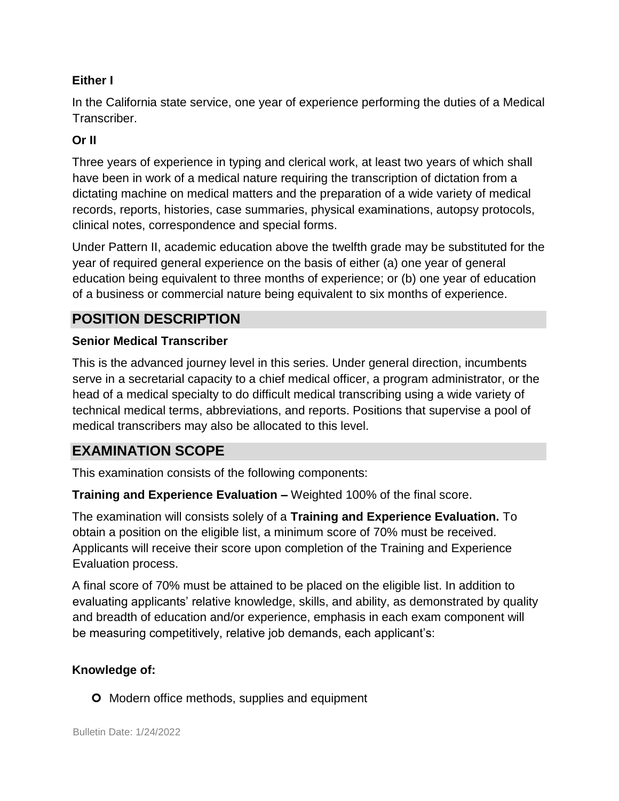#### **Either I**

In the California state service, one year of experience performing the duties of a Medical Transcriber.

#### **Or II**

Three years of experience in typing and clerical work, at least two years of which shall have been in work of a medical nature requiring the transcription of dictation from a dictating machine on medical matters and the preparation of a wide variety of medical records, reports, histories, case summaries, physical examinations, autopsy protocols, clinical notes, correspondence and special forms.

Under Pattern II, academic education above the twelfth grade may be substituted for the year of required general experience on the basis of either (a) one year of general education being equivalent to three months of experience; or (b) one year of education of a business or commercial nature being equivalent to six months of experience.

## **POSITION DESCRIPTION**

#### **Senior Medical Transcriber**

This is the advanced journey level in this series. Under general direction, incumbents serve in a secretarial capacity to a chief medical officer, a program administrator, or the head of a medical specialty to do difficult medical transcribing using a wide variety of technical medical terms, abbreviations, and reports. Positions that supervise a pool of medical transcribers may also be allocated to this level.

## **EXAMINATION SCOPE**

This examination consists of the following components:

**Training and Experience Evaluation –** Weighted 100% of the final score.

The examination will consists solely of a **Training and Experience Evaluation.** To obtain a position on the eligible list, a minimum score of 70% must be received. Applicants will receive their score upon completion of the Training and Experience Evaluation process.

A final score of 70% must be attained to be placed on the eligible list. In addition to evaluating applicants' relative knowledge, skills, and ability, as demonstrated by quality and breadth of education and/or experience, emphasis in each exam component will be measuring competitively, relative job demands, each applicant's:

#### **Knowledge of:**

**O** Modern office methods, supplies and equipment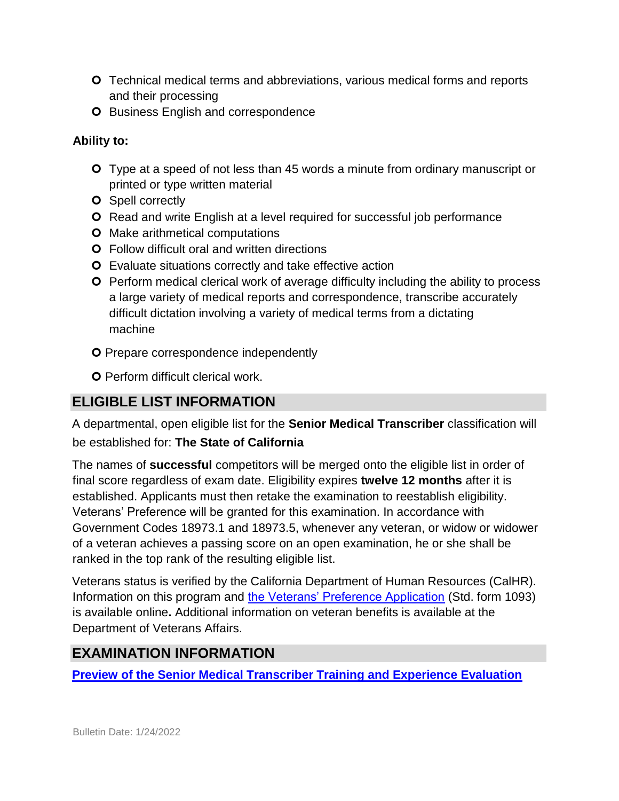- Technical medical terms and abbreviations, various medical forms and reports and their processing
- **O** Business English and correspondence

#### **Ability to:**

- Type at a speed of not less than 45 words a minute from ordinary manuscript or printed or type written material
- **O** Spell correctly
- **O** Read and write English at a level required for successful job performance
- **O** Make arithmetical computations
- Follow difficult oral and written directions
- **O** Evaluate situations correctly and take effective action
- **O** Perform medical clerical work of average difficulty including the ability to process a large variety of medical reports and correspondence, transcribe accurately difficult dictation involving a variety of medical terms from a dictating machine
- O Prepare correspondence independently
- **O** Perform difficult clerical work.

## **ELIGIBLE LIST INFORMATION**

A departmental, open eligible list for the **Senior Medical Transcriber** classification will be established for: **The State of California** 

The names of **successful** competitors will be merged onto the eligible list in order of final score regardless of exam date. Eligibility expires **twelve 12 months** after it is established. Applicants must then retake the examination to reestablish eligibility. Veterans' Preference will be granted for this examination. In accordance with Government Codes 18973.1 and 18973.5, whenever any veteran, or widow or widower of a veteran achieves a passing score on an open examination, he or she shall be ranked in the top rank of the resulting eligible list.

Veterans status is verified by the California Department of Human Resources (CalHR). Information on this program and [the Veterans' Preference Application](https://www.jobs.ca.gov/CalHRPublic/Landing/Jobs/VeteransInformation.aspx) [\(](https://www.jobs.ca.gov/CalHRPublic/Landing/Jobs/VeteransInformation.aspx)Std. form 1093) is available online**.** Additional information on veteran benefits is available at the Department of Veterans Affairs.

## **EXAMINATION INFORMATION**

**[Preview of the](https://jobs.ca.gov/jobsgen/0PBGRa.pdf) [Senior Medical Transcriber Training and Experience Evaluation](https://jobs.ca.gov/jobsgen/0PBGRa.pdf)**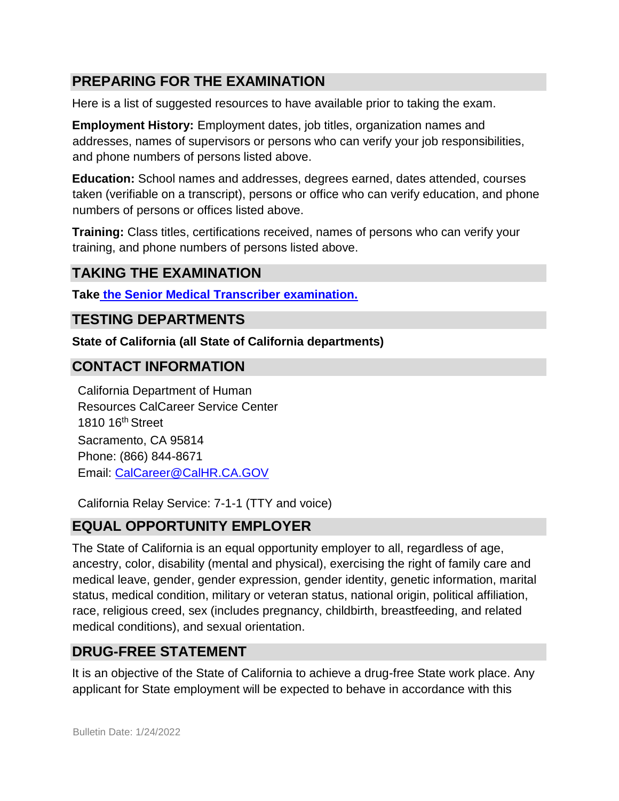## **PREPARING FOR THE EXAMINATION**

Here is a list of suggested resources to have available prior to taking the exam.

**Employment History:** Employment dates, job titles, organization names and addresses, names of supervisors or persons who can verify your job responsibilities, and phone numbers of persons listed above.

**Education:** School names and addresses, degrees earned, dates attended, courses taken (verifiable on a transcript), persons or office who can verify education, and phone numbers of persons or offices listed above.

**Training:** Class titles, certifications received, names of persons who can verify your training, and phone numbers of persons listed above.

#### **TAKING THE EXAMINATION**

**Tak[e](https://www.jobs.ca.gov/CalHRPublic/Login.aspx?ExamId=0PBGR) [the Senior Medical Transcriber examination.](https://www.jobs.ca.gov/CalHRPublic/Login.aspx?ExamId=0PBGR)**

#### **TESTING DEPARTMENTS**

**State of California (all State of California departments)** 

## **CONTACT INFORMATION**

California Department of Human Resources CalCareer Service Center 1810 16th Street Sacramento, CA 95814 Phone: (866) 844-8671 Email: CalCareer@CalHR.CA.GOV

California Relay Service: 7-1-1 (TTY and voice)

## **EQUAL OPPORTUNITY EMPLOYER**

The State of California is an equal opportunity employer to all, regardless of age, ancestry, color, disability (mental and physical), exercising the right of family care and medical leave, gender, gender expression, gender identity, genetic information, marital status, medical condition, military or veteran status, national origin, political affiliation, race, religious creed, sex (includes pregnancy, childbirth, breastfeeding, and related medical conditions), and sexual orientation.

## **DRUG-FREE STATEMENT**

It is an objective of the State of California to achieve a drug-free State work place. Any applicant for State employment will be expected to behave in accordance with this